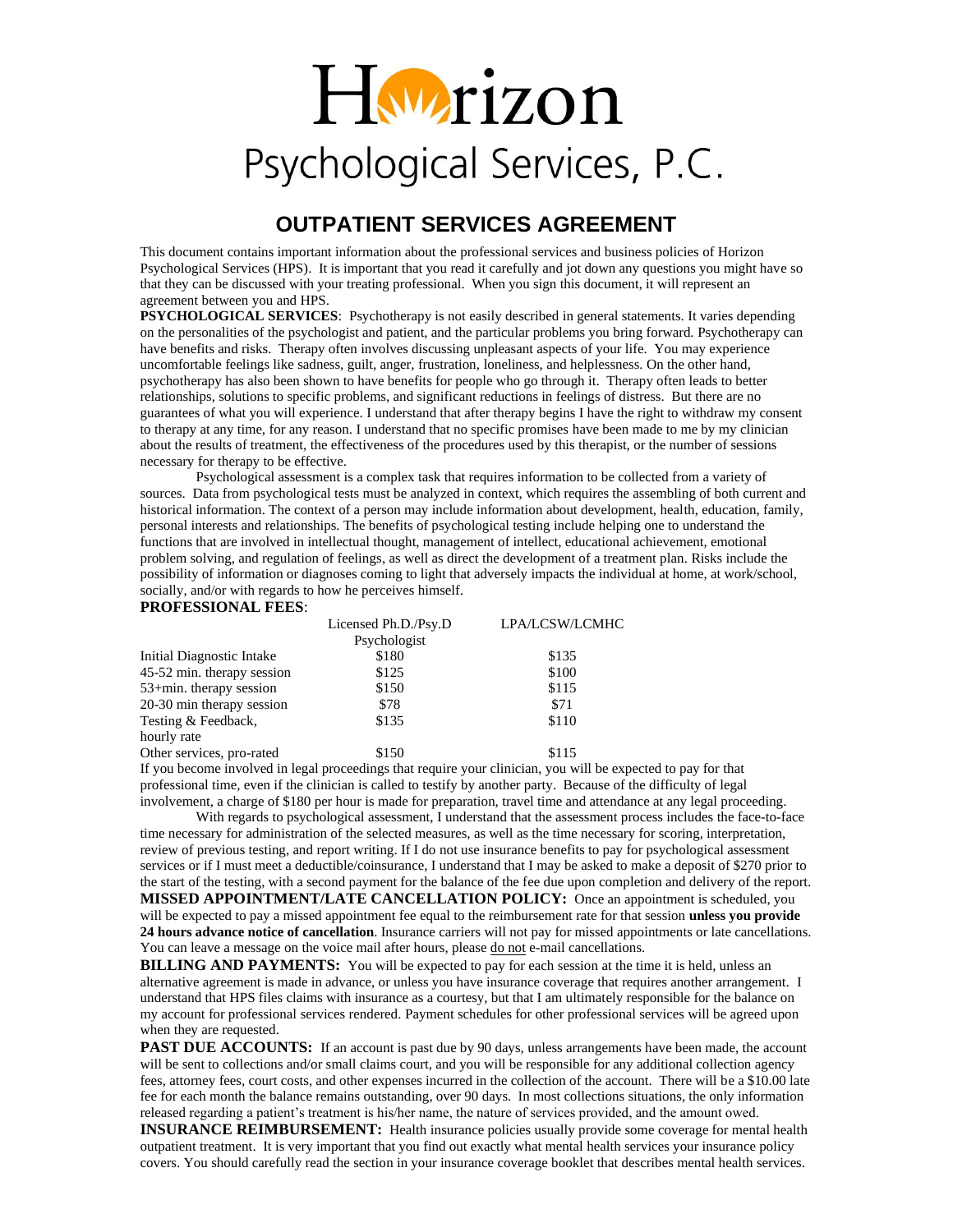## Hwrizon Psychological Services, P.C.

## **OUTPATIENT SERVICES AGREEMENT**

This document contains important information about the professional services and business policies of Horizon Psychological Services (HPS). It is important that you read it carefully and jot down any questions you might have so that they can be discussed with your treating professional. When you sign this document, it will represent an agreement between you and HPS.

**PSYCHOLOGICAL SERVICES:** Psychotherapy is not easily described in general statements. It varies depending on the personalities of the psychologist and patient, and the particular problems you bring forward. Psychotherapy can have benefits and risks. Therapy often involves discussing unpleasant aspects of your life. You may experience uncomfortable feelings like sadness, guilt, anger, frustration, loneliness, and helplessness. On the other hand, psychotherapy has also been shown to have benefits for people who go through it. Therapy often leads to better relationships, solutions to specific problems, and significant reductions in feelings of distress. But there are no guarantees of what you will experience. I understand that after therapy begins I have the right to withdraw my consent to therapy at any time, for any reason. I understand that no specific promises have been made to me by my clinician about the results of treatment, the effectiveness of the procedures used by this therapist, or the number of sessions necessary for therapy to be effective.

Psychological assessment is a complex task that requires information to be collected from a variety of sources. Data from psychological tests must be analyzed in context, which requires the assembling of both current and historical information. The context of a person may include information about development, health, education, family, personal interests and relationships. The benefits of psychological testing include helping one to understand the functions that are involved in intellectual thought, management of intellect, educational achievement, emotional problem solving, and regulation of feelings, as well as direct the development of a treatment plan. Risks include the possibility of information or diagnoses coming to light that adversely impacts the individual at home, at work/school, socially, and/or with regards to how he perceives himself.

## **PROFESSIONAL FEES**:

|                             | Licensed Ph.D./Psy.D | LPA/LCSW/LCMHC |
|-----------------------------|----------------------|----------------|
|                             | Psychologist         |                |
| Initial Diagnostic Intake   | \$180                | \$135          |
| 45-52 min. therapy session  | \$125                | \$100          |
| $53 + min.$ therapy session | \$150                | \$115          |
| 20-30 min therapy session   | \$78                 | \$71           |
| Testing & Feedback,         | \$135                | \$110          |
| hourly rate                 |                      |                |
| Other services, pro-rated   | \$150                | \$115          |

If you become involved in legal proceedings that require your clinician, you will be expected to pay for that professional time, even if the clinician is called to testify by another party. Because of the difficulty of legal involvement, a charge of \$180 per hour is made for preparation, travel time and attendance at any legal proceeding.

With regards to psychological assessment, I understand that the assessment process includes the face-to-face time necessary for administration of the selected measures, as well as the time necessary for scoring, interpretation, review of previous testing, and report writing. If I do not use insurance benefits to pay for psychological assessment services or if I must meet a deductible/coinsurance, I understand that I may be asked to make a deposit of \$270 prior to the start of the testing, with a second payment for the balance of the fee due upon completion and delivery of the report. **MISSED APPOINTMENT/LATE CANCELLATION POLICY:** Once an appointment is scheduled, you will be expected to pay a missed appointment fee equal to the reimbursement rate for that session **unless you provide 24 hours advance notice of cancellation**. Insurance carriers will not pay for missed appointments or late cancellations. You can leave a message on the voice mail after hours, please do not e-mail cancellations.

**BILLING AND PAYMENTS:** You will be expected to pay for each session at the time it is held, unless an alternative agreement is made in advance, or unless you have insurance coverage that requires another arrangement. I understand that HPS files claims with insurance as a courtesy, but that I am ultimately responsible for the balance on my account for professional services rendered. Payment schedules for other professional services will be agreed upon when they are requested.

**PAST DUE ACCOUNTS:** If an account is past due by 90 days, unless arrangements have been made, the account will be sent to collections and/or small claims court, and you will be responsible for any additional collection agency fees, attorney fees, court costs, and other expenses incurred in the collection of the account. There will be a \$10.00 late fee for each month the balance remains outstanding, over 90 days. In most collections situations, the only information released regarding a patient's treatment is his/her name, the nature of services provided, and the amount owed.

**INSURANCE REIMBURSEMENT:** Health insurance policies usually provide some coverage for mental health outpatient treatment. It is very important that you find out exactly what mental health services your insurance policy covers. You should carefully read the section in your insurance coverage booklet that describes mental health services.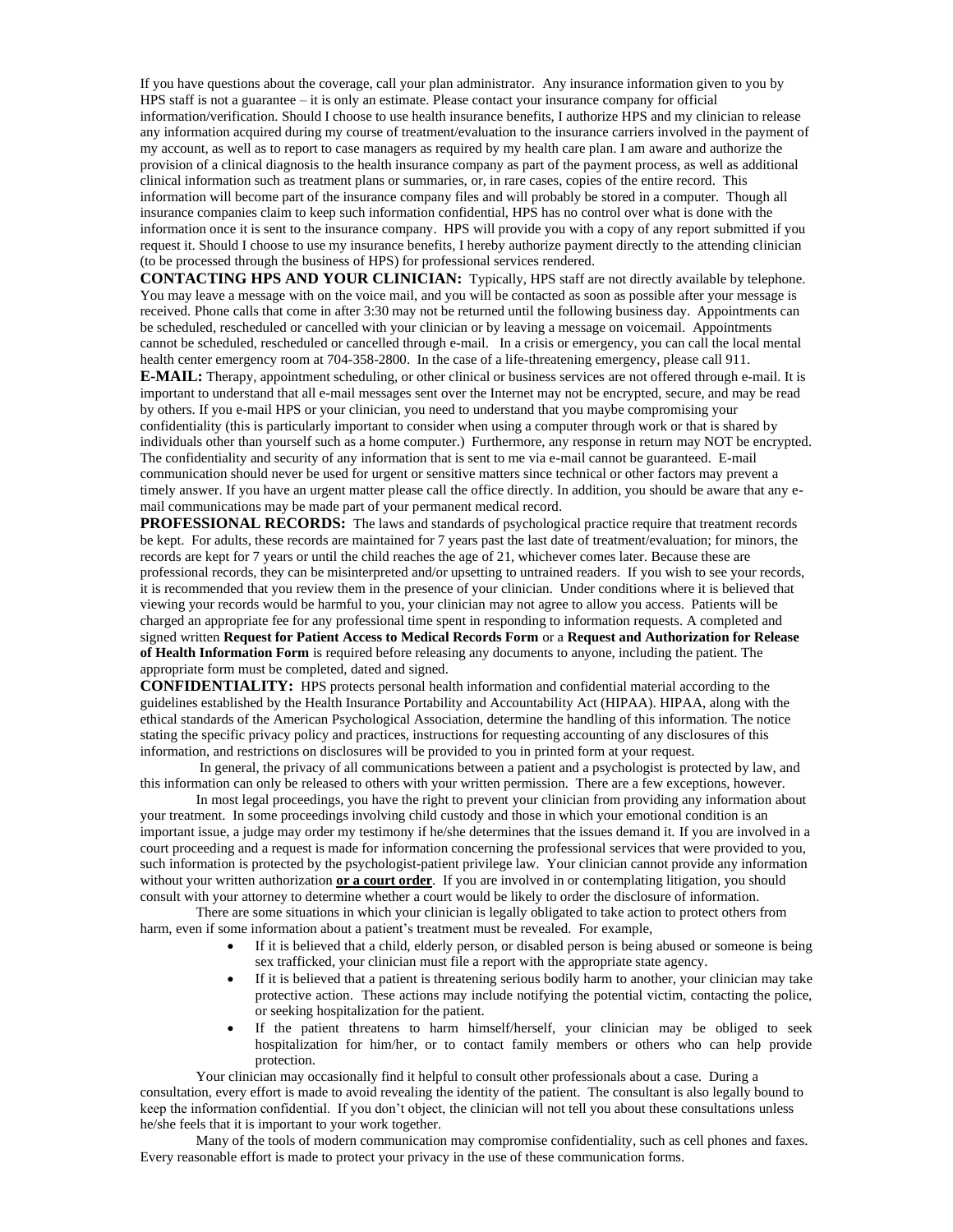If you have questions about the coverage, call your plan administrator. Any insurance information given to you by HPS staff is not a guarantee – it is only an estimate. Please contact your insurance company for official information/verification. Should I choose to use health insurance benefits, I authorize HPS and my clinician to release any information acquired during my course of treatment/evaluation to the insurance carriers involved in the payment of my account, as well as to report to case managers as required by my health care plan. I am aware and authorize the provision of a clinical diagnosis to the health insurance company as part of the payment process, as well as additional clinical information such as treatment plans or summaries, or, in rare cases, copies of the entire record. This information will become part of the insurance company files and will probably be stored in a computer. Though all insurance companies claim to keep such information confidential, HPS has no control over what is done with the information once it is sent to the insurance company. HPS will provide you with a copy of any report submitted if you request it. Should I choose to use my insurance benefits, I hereby authorize payment directly to the attending clinician (to be processed through the business of HPS) for professional services rendered.

**CONTACTING HPS AND YOUR CLINICIAN:** Typically, HPS staff are not directly available by telephone. You may leave a message with on the voice mail, and you will be contacted as soon as possible after your message is received. Phone calls that come in after 3:30 may not be returned until the following business day. Appointments can be scheduled, rescheduled or cancelled with your clinician or by leaving a message on voicemail. Appointments cannot be scheduled, rescheduled or cancelled through e-mail. In a crisis or emergency, you can call the local mental health center emergency room at 704-358-2800. In the case of a life-threatening emergency, please call 911.

**E-MAIL:** Therapy, appointment scheduling, or other clinical or business services are not offered through e-mail. It is important to understand that all e-mail messages sent over the Internet may not be encrypted, secure, and may be read by others. If you e-mail HPS or your clinician, you need to understand that you maybe compromising your confidentiality (this is particularly important to consider when using a computer through work or that is shared by individuals other than yourself such as a home computer.) Furthermore, any response in return may NOT be encrypted. The confidentiality and security of any information that is sent to me via e-mail cannot be guaranteed. E-mail communication should never be used for urgent or sensitive matters since technical or other factors may prevent a timely answer. If you have an urgent matter please call the office directly. In addition, you should be aware that any email communications may be made part of your permanent medical record.

**PROFESSIONAL RECORDS:** The laws and standards of psychological practice require that treatment records be kept. For adults, these records are maintained for 7 years past the last date of treatment/evaluation; for minors, the records are kept for 7 years or until the child reaches the age of 21, whichever comes later. Because these are professional records, they can be misinterpreted and/or upsetting to untrained readers. If you wish to see your records, it is recommended that you review them in the presence of your clinician. Under conditions where it is believed that viewing your records would be harmful to you, your clinician may not agree to allow you access. Patients will be charged an appropriate fee for any professional time spent in responding to information requests. A completed and signed written **Request for Patient Access to Medical Records Form** or a **Request and Authorization for Release of Health Information Form** is required before releasing any documents to anyone, including the patient. The appropriate form must be completed, dated and signed.

**CONFIDENTIALITY:** HPS protects personal health information and confidential material according to the guidelines established by the Health Insurance Portability and Accountability Act (HIPAA). HIPAA, along with the ethical standards of the American Psychological Association, determine the handling of this information. The notice stating the specific privacy policy and practices, instructions for requesting accounting of any disclosures of this information, and restrictions on disclosures will be provided to you in printed form at your request.

In general, the privacy of all communications between a patient and a psychologist is protected by law, and this information can only be released to others with your written permission. There are a few exceptions, however.

In most legal proceedings, you have the right to prevent your clinician from providing any information about your treatment. In some proceedings involving child custody and those in which your emotional condition is an important issue, a judge may order my testimony if he/she determines that the issues demand it. If you are involved in a court proceeding and a request is made for information concerning the professional services that were provided to you, such information is protected by the psychologist-patient privilege law. Your clinician cannot provide any information without your written authorization **or a court order**. If you are involved in or contemplating litigation, you should consult with your attorney to determine whether a court would be likely to order the disclosure of information.

There are some situations in which your clinician is legally obligated to take action to protect others from harm, even if some information about a patient's treatment must be revealed. For example,

- If it is believed that a child, elderly person, or disabled person is being abused or someone is being sex trafficked, your clinician must file a report with the appropriate state agency.
- If it is believed that a patient is threatening serious bodily harm to another, your clinician may take protective action. These actions may include notifying the potential victim, contacting the police, or seeking hospitalization for the patient.
- If the patient threatens to harm himself/herself, your clinician may be obliged to seek hospitalization for him/her, or to contact family members or others who can help provide protection.

Your clinician may occasionally find it helpful to consult other professionals about a case. During a consultation, every effort is made to avoid revealing the identity of the patient. The consultant is also legally bound to keep the information confidential. If you don't object, the clinician will not tell you about these consultations unless he/she feels that it is important to your work together.

Many of the tools of modern communication may compromise confidentiality, such as cell phones and faxes. Every reasonable effort is made to protect your privacy in the use of these communication forms.